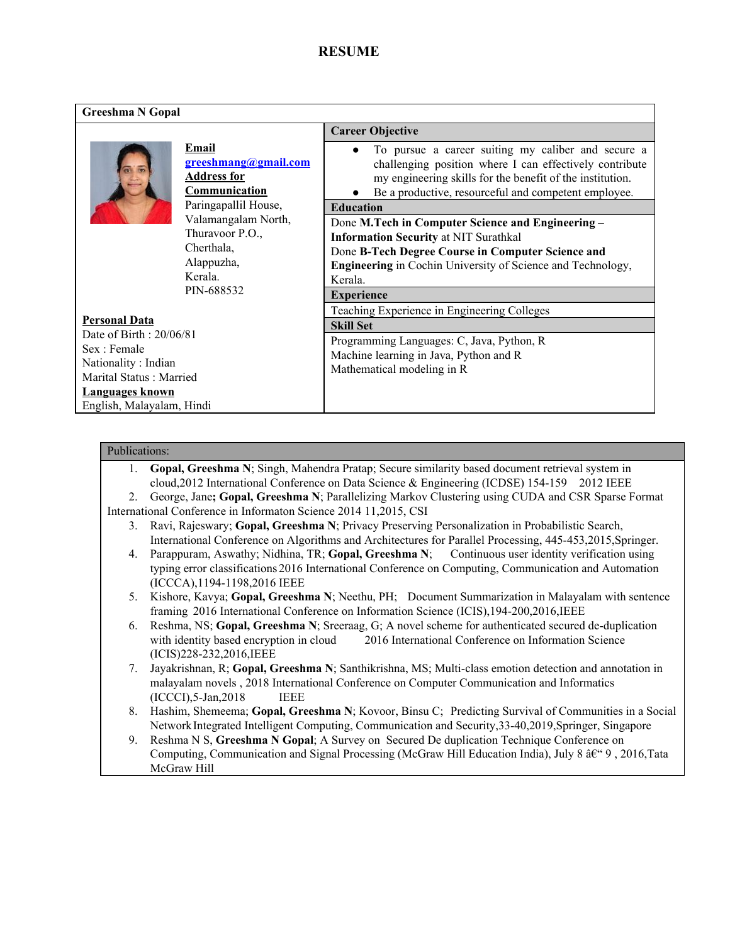# **RESUME**

| <b>Greeshma N Gopal</b>                                                                                                                                                  |                                                                                                                                                                                                    |                                                                                                                                                                                                                                                                                                                                                                                                                                                                                                                                                                                                                                                                                                                |  |  |  |
|--------------------------------------------------------------------------------------------------------------------------------------------------------------------------|----------------------------------------------------------------------------------------------------------------------------------------------------------------------------------------------------|----------------------------------------------------------------------------------------------------------------------------------------------------------------------------------------------------------------------------------------------------------------------------------------------------------------------------------------------------------------------------------------------------------------------------------------------------------------------------------------------------------------------------------------------------------------------------------------------------------------------------------------------------------------------------------------------------------------|--|--|--|
|                                                                                                                                                                          |                                                                                                                                                                                                    | <b>Career Objective</b>                                                                                                                                                                                                                                                                                                                                                                                                                                                                                                                                                                                                                                                                                        |  |  |  |
| <b>Personal Data</b><br>Date of Birth: 20/06/81<br>Sex : Female<br>Nationality: Indian<br>Marital Status: Married<br><b>Languages known</b><br>English, Malayalam, Hindi | Email<br><u>greeshmang@gmail.com</u><br><b>Address for</b><br>Communication<br>Paringapallil House,<br>Valamangalam North,<br>Thuravoor P.O.,<br>Cherthala,<br>Alappuzha,<br>Kerala.<br>PIN-688532 | To pursue a career suiting my caliber and secure a<br>challenging position where I can effectively contribute<br>my engineering skills for the benefit of the institution.<br>Be a productive, resourceful and competent employee.<br><b>Education</b><br>Done M.Tech in Computer Science and Engineering -<br><b>Information Security at NIT Surathkal</b><br>Done B-Tech Degree Course in Computer Science and<br><b>Engineering</b> in Cochin University of Science and Technology,<br>Kerala.<br><b>Experience</b><br>Teaching Experience in Engineering Colleges<br><b>Skill Set</b><br>Programming Languages: C, Java, Python, R<br>Machine learning in Java, Python and R<br>Mathematical modeling in R |  |  |  |

### Publications:

1. **Gopal, Greeshma N**; Singh, Mahendra Pratap; Secure similarity based document retrieval system in cloud,2012 International Conference on Data Science & Engineering (ICDSE) 154-159 2012 IEEE 2. George, Jane**; Gopal, Greeshma N**; Parallelizing Markov Clustering using CUDA and CSR Sparse Format

International Conference in Informaton Science 2014 11,2015, CSI

- 3. Ravi, Rajeswary; **Gopal, Greeshma N**; Privacy Preserving Personalization in Probabilistic Search, International Conference on Algorithms and Architectures for Parallel Processing, 445-453,2015,Springer.
- 4. Parappuram, Aswathy; Nidhina, TR; **Gopal, Greeshma N**; Continuous user identity verification using typing error classifications 2016 International Conference on Computing, Communication and Automation (ICCCA),1194-1198,2016 IEEE
- 5. Kishore, Kavya; **Gopal, Greeshma N**; Neethu, PH; Document Summarization in Malayalam with sentence framing 2016 International Conference on Information Science (ICIS),194-200,2016,IEEE
- 6. Reshma, NS; **Gopal, Greeshma N**; Sreeraag, G; A novel scheme for authenticated secured de-duplication with identity based encryption in cloud 2016 International Conference on Information Science (ICIS)228-232,2016,IEEE
- 7. Jayakrishnan, R; **Gopal, Greeshma N**; Santhikrishna, MS; Multi-class emotion detection and annotation in malayalam novels , 2018 International Conference on Computer Communication and Informatics (ICCCI),5-Jan,2018 IEEE
- 8. Hashim, Shemeema; **Gopal, Greeshma N**; Kovoor, Binsu C; Predicting Survival of Communities in a Social NetworkIntegrated Intelligent Computing, Communication and Security,33-40,2019,Springer, Singapore
- 9. Reshma N S, **Greeshma N Gopal**; A Survey on Secured De duplication Technique Conference on Computing, Communication and Signal Processing (McGraw Hill Education India), July 8  $\hat{a}\hat{\epsilon}$  4 9, 2016, Tata McGraw Hill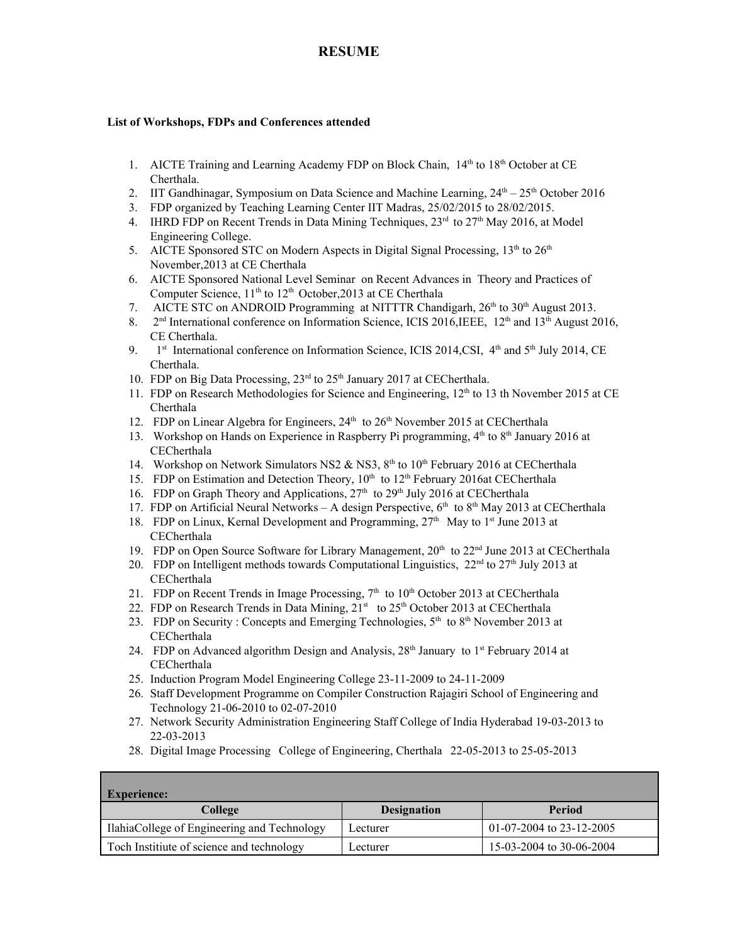# **RESUME**

#### **List of Workshops, FDPs and Conferences attended**

- 1. AICTE Training and Learning Academy FDP on Block Chain,  $14<sup>th</sup>$  to  $18<sup>th</sup>$  October at CE Cherthala.
- 2. IIT Gandhinagar, Symposium on Data Science and Machine Learning,  $24<sup>th</sup> 25<sup>th</sup>$  October 2016
- 3. FDP organized by Teaching Learning Center IIT Madras, 25/02/2015 to 28/02/2015.
- 4. IHRD FDP on Recent Trends in Data Mining Techniques,  $23<sup>rd</sup>$  to  $27<sup>th</sup>$  May 2016, at Model Engineering College.
- 5. AICTE Sponsored STC on Modern Aspects in Digital Signal Processing,  $13<sup>th</sup>$  to  $26<sup>th</sup>$ November,2013 at CE Cherthala
- 6. AICTE Sponsored National Level Seminar on Recent Advances in Theory and Practices of Computer Science, 11<sup>th</sup> to 12<sup>th</sup> October, 2013 at CE Cherthala
- 7. AICTE STC on ANDROID Programming at NITTTR Chandigarh,  $26<sup>th</sup>$  to  $30<sup>th</sup>$  August 2013.
- 8.  $2<sup>nd</sup> International conference on Information Science, ICIS 2016, IEEE, 12<sup>th</sup> and 13<sup>th</sup> August 2016,$ CE Cherthala.
- 9. st International conference on Information Science, ICIS 2014, CSI,  $4<sup>th</sup>$  and  $5<sup>th</sup>$  July 2014, CE Cherthala.
- 10. FDP on Big Data Processing, 23<sup>rd</sup> to 25<sup>th</sup> January 2017 at CECherthala.
- 11. FDP on Research Methodologies for Science and Engineering,  $12<sup>th</sup>$  to 13 th November 2015 at CE Cherthala
- 12. FDP on Linear Algebra for Engineers, 24<sup>th</sup> to 26<sup>th</sup> November 2015 at CECherthala
- 13. Workshop on Hands on Experience in Raspberry Pi programming,  $4<sup>th</sup>$  to  $8<sup>th</sup>$  January 2016 at **CECherthala**
- 14. Workshop on Network Simulators NS2 & NS3, 8<sup>th</sup> to 10<sup>th</sup> February 2016 at CECherthala
- 15. FDP on Estimation and Detection Theory, 10<sup>th</sup> to 12<sup>th</sup> February 2016at CECherthala
- 16. FDP on Graph Theory and Applications,  $27<sup>th</sup>$  to  $29<sup>th</sup>$  July 2016 at CECherthala
- 17. FDP on Artificial Neural Networks A design Perspective,  $6<sup>th</sup>$  to  $8<sup>th</sup>$  May 2013 at CECherthala
- 18. FDP on Linux, Kernal Development and Programming, 27<sup>th</sup> May to 1<sup>st</sup> June 2013 at **CECherthala**
- 19. FDP on Open Source Software for Library Management,  $20<sup>th</sup>$  to  $22<sup>nd</sup>$  June 2013 at CECherthala
- 20. FDP on Intelligent methods towards Computational Linguistics,  $22<sup>nd</sup>$  to  $27<sup>th</sup>$  July 2013 at **CECherthala**
- 21. FDP on Recent Trends in Image Processing,  $7<sup>th</sup>$  to  $10<sup>th</sup>$  October 2013 at CECherthala
- 22. FDP on Research Trends in Data Mining, 21<sup>st</sup> to 25<sup>th</sup> October 2013 at CECherthala
- 23. FDP on Security: Concepts and Emerging Technologies,  $5<sup>th</sup>$  to  $8<sup>th</sup>$  November 2013 at **CECherthala**
- 24. FDP on Advanced algorithm Design and Analysis, 28<sup>th</sup> January to 1<sup>st</sup> February 2014 at **CECherthala**
- 25. Induction Program Model Engineering College 23-11-2009 to 24-11-2009
- 26. Staff Development Programme on Compiler Construction Rajagiri School of Engineering and Technology 21-06-2010 to 02-07-2010
- 27. Network Security Administration Engineering Staff College of India Hyderabad 19-03-2013 to 22-03-2013
- 28. Digital Image Processing College of Engineering, Cherthala 22-05-2013 to 25-05-2013

| <b>Experience:</b>                          |                    |                          |  |  |  |
|---------------------------------------------|--------------------|--------------------------|--|--|--|
| College                                     | <b>Designation</b> | Period                   |  |  |  |
| IlahiaCollege of Engineering and Technology | Lecturer           | 01-07-2004 to 23-12-2005 |  |  |  |
| Toch Institute of science and technology    | Lecturer           | 15-03-2004 to 30-06-2004 |  |  |  |